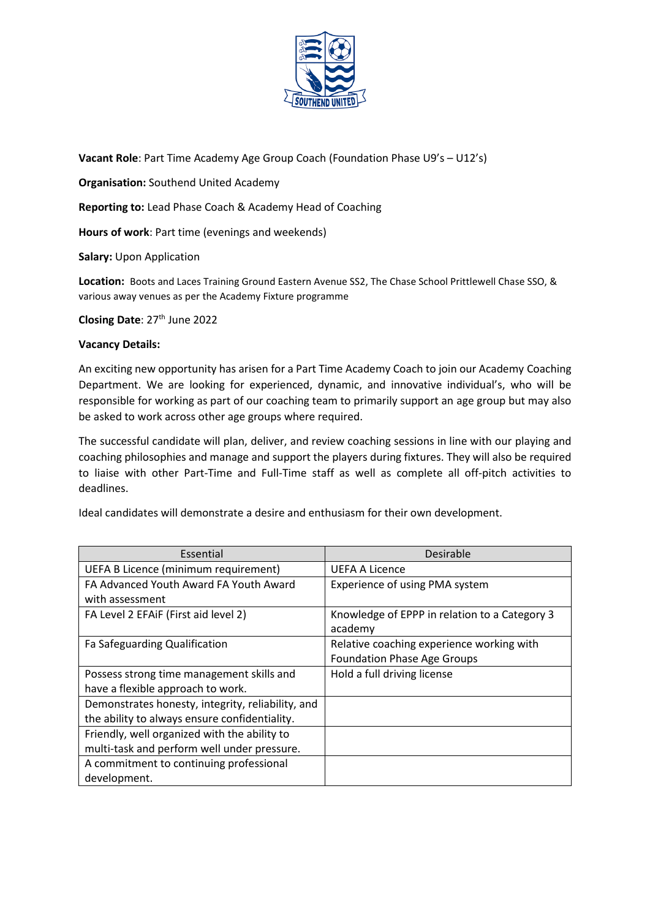

**Vacant Role**: Part Time Academy Age Group Coach (Foundation Phase U9's – U12's)

**Organisation:** Southend United Academy

**Reporting to:** Lead Phase Coach & Academy Head of Coaching

**Hours of work**: Part time (evenings and weekends)

**Salary:** Upon Application

**Location:** Boots and Laces Training Ground Eastern Avenue SS2, The Chase School Prittlewell Chase SSO, & various away venues as per the Academy Fixture programme

**Closing Date: 27<sup>th</sup> June 2022** 

### **Vacancy Details:**

An exciting new opportunity has arisen for a Part Time Academy Coach to join our Academy Coaching Department. We are looking for experienced, dynamic, and innovative individual's, who will be responsible for working as part of our coaching team to primarily support an age group but may also be asked to work across other age groups where required.

The successful candidate will plan, deliver, and review coaching sessions in line with our playing and coaching philosophies and manage and support the players during fixtures. They will also be required to liaise with other Part-Time and Full-Time staff as well as complete all off-pitch activities to deadlines.

Ideal candidates will demonstrate a desire and enthusiasm for their own development.

| Essential                                         | Desirable                                     |
|---------------------------------------------------|-----------------------------------------------|
| UEFA B Licence (minimum requirement)              | <b>UEFA A Licence</b>                         |
| FA Advanced Youth Award FA Youth Award            | Experience of using PMA system                |
| with assessment                                   |                                               |
| FA Level 2 EFAIF (First aid level 2)              | Knowledge of EPPP in relation to a Category 3 |
|                                                   | academy                                       |
| Fa Safeguarding Qualification                     | Relative coaching experience working with     |
|                                                   | <b>Foundation Phase Age Groups</b>            |
| Possess strong time management skills and         | Hold a full driving license                   |
| have a flexible approach to work.                 |                                               |
| Demonstrates honesty, integrity, reliability, and |                                               |
| the ability to always ensure confidentiality.     |                                               |
| Friendly, well organized with the ability to      |                                               |
| multi-task and perform well under pressure.       |                                               |
| A commitment to continuing professional           |                                               |
| development.                                      |                                               |